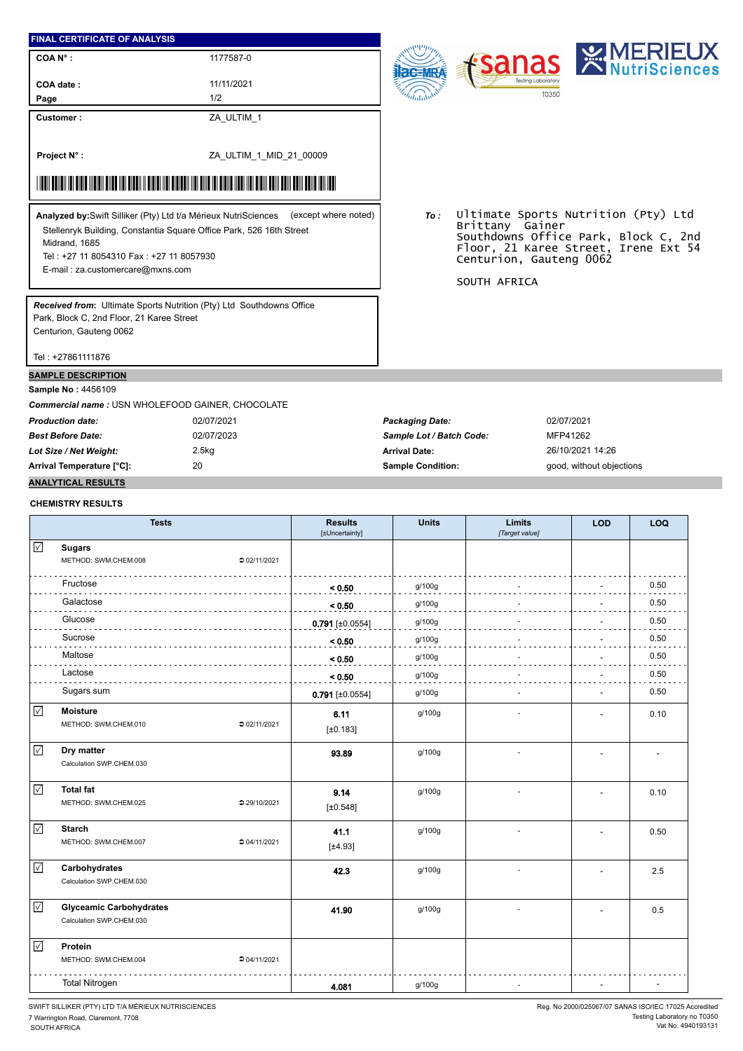### **FINAL CERTIFICATE OF ANALYSIS**

**COA N° : COA date :**

11/11/2021

1177587-0

**Customer :**

**Project N° :**

**Page**

ZA\_ULTIM\_1 1/2

ZA\_ULTIM\_1\_MID\_21\_00009

## \*ZA\_ULTIM\_1\_MID\_21\_MID\_21\_MID\_21\_MID\_21\_MID\_21\_MID\_21\_MID\_21\_MID\_21\_MID\_21\_MID\_21\_MID\_21\_MID\_21\_MID\_21\_MID\_21\_

Stellenryk Building, Constantia Square Office Park, 526 16th Street Midrand, 1685 Tel : +27 11 8054310 Fax : +27 11 8057930 **Analyzed by:**Swift Silliker (Pty) Ltd t/a Mérieux NutriSciences (except where noted) *To :*

E-mail : za.customercare@mxns.com

*Received from***:** Ultimate Sports Nutrition (Pty) Ltd Southdowns Office Park, Block C, 2nd Floor, 21 Karee Street Centurion, Gauteng 0062

Tel : +27861111876

#### **SAMPLE DESCRIPTION**

**Sample No :** 4456109

*Commercial name :* USN WHOLEFOOD GAINER, CHOCOLATE

Ultimate Sports Nutrition (Pty) Ltd Brittany Gainer Southdowns Office Park, Block C, 2nd Floor, 21 Karee Street, Irene Ext 54 Centurion, Gauteng 0062

SOUTH AFRICA

*Production date:* 02/07/2021 *Packaging Date:* 02/07/2021 *Best Before Date:* 02/07/2023 *Sample Lot / Batch Code:* MFP41262 *Lot Size / Net Weight:* 2.5kg **Arrival Date:** 26/10/2021 14:26 **Arrival Temperature [°C]:** 20 **Sample Condition:** good, without objections

## **ANALYTICAL RESULTS CHEMISTRY RESULTS**

|                      | <b>Tests</b>                                               | <b>Results</b><br>[±Uncertainty] | <b>Units</b> | Limits<br>[Target value] | <b>LOD</b> | LOQ  |
|----------------------|------------------------------------------------------------|----------------------------------|--------------|--------------------------|------------|------|
| $\checkmark$         | <b>Sugars</b><br>METHOD: SWM.CHEM.008<br>202/11/2021       |                                  |              |                          |            |      |
|                      | Fructose                                                   | < 0.50                           | g/100g       |                          |            | 0.50 |
|                      | Galactose                                                  | < 0.50                           | g/100g       |                          |            | 0.50 |
|                      | Glucose                                                    | $0.791$ [±0.0554]                | g/100g       |                          |            | 0.50 |
|                      | Sucrose                                                    | < 0.50                           | g/100g       |                          |            | 0.50 |
|                      | Maltose                                                    | < 0.50                           | g/100g       |                          |            | 0.50 |
|                      | Lactose                                                    | < 0.50                           | g/100g       |                          |            | 0.50 |
|                      | Sugars sum                                                 | $0.791$ [±0.0554]                | g/100g       |                          |            | 0.50 |
| $\blacktriangledown$ | <b>Moisture</b><br>METHOD: SWM.CHEM.010<br>202/11/2021     | 6.11<br>[±0.183]                 | g/100g       |                          |            | 0.10 |
| $\checkmark$         | Dry matter<br>Calculation SWP.CHEM.030                     | 93.89                            | g/100g       |                          |            |      |
| $\sqrt{}$            | <b>Total fat</b><br>METHOD: SWM.CHEM.025<br>● 29/10/2021   | 9.14<br>[±0.548]                 | g/100g       |                          |            | 0.10 |
| $\sqrt{ }$           | <b>Starch</b><br>METHOD: SWM.CHEM.007<br>204/11/2021       | 41.1<br>[±4.93]                  | g/100g       |                          |            | 0.50 |
| $\checkmark$         | Carbohydrates<br>Calculation SWP.CHEM.030                  | 42.3                             | g/100g       |                          |            | 2.5  |
| $\checkmark$         | <b>Glyceamic Carbohydrates</b><br>Calculation SWP.CHEM.030 | 41.90                            | g/100g       |                          |            | 0.5  |
| $\sqrt{}$            | Protein<br>METHOD: SWM.CHEM.004<br>04/11/2021              |                                  |              |                          |            |      |
|                      | <b>Total Nitrogen</b>                                      | 4.081                            | g/100g       |                          |            |      |

SWIFT SILLIKER (PTY) LTD T/A MÉRIEUX NUTRISCIENCES

7 Warrington Road, Claremont, 7708 SOUTH AFRICA